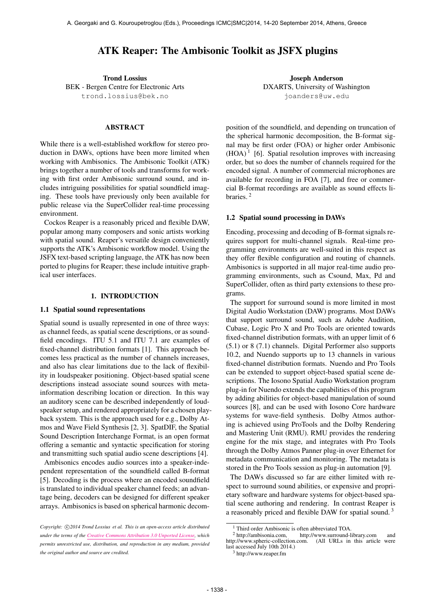# ATK Reaper: The Ambisonic Toolkit as JSFX plugins

Trond Lossius BEK - Bergen Centre for Electronic Arts [trond.lossius@bek.no](mailto:trond.lossius@bek.no)

### ABSTRACT

While there is a well-established workflow for stereo production in DAWs, options have been more limited when working with Ambisonics. The Ambisonic Toolkit (ATK) brings together a number of tools and transforms for working with first order Ambisonic surround sound, and includes intriguing possibilities for spatial soundfield imaging. These tools have previously only been available for public release via the SuperCollider real-time processing environment.

Cockos Reaper is a reasonably priced and flexible DAW, popular among many composers and sonic artists working with spatial sound. Reaper's versatile design conveniently supports the ATK's Ambisonic workflow model. Using the JSFX text-based scripting language, the ATK has now been ported to plugins for Reaper; these include intuitive graphical user interfaces.

#### 1. INTRODUCTION

#### 1.1 Spatial sound representations

Spatial sound is usually represented in one of three ways: as channel feeds, as spatial scene descriptions, or as soundfield encodings. ITU 5.1 and ITU 7.1 are examples of fixed-channel distribution formats [1]. This approach becomes less practical as the number of channels increases, and also has clear limitations due to the lack of flexibility in loudspeaker positioning. Object-based spatial scene descriptions instead associate sound sources with metainformation describing location or direction. In this way an auditory scene can be described independently of loudspeaker setup, and rendered appropriately for a chosen playback system. This is the approach used for e.g., Dolby Atmos and Wave Field Synthesis [2, 3]. SpatDIF, the Spatial Sound Description Interchange Format, is an open format offering a semantic and syntactic specification for storing and transmitting such spatial audio scene descriptions [4].

Ambisonics encodes audio sources into a speaker-independent representation of the soundfield called B-format [5]. Decoding is the process where an encoded soundfield is translated to individual speaker channel feeds; an advantage being, decoders can be designed for different speaker arrays. Ambisonics is based on spherical harmonic decom-

Joseph Anderson DXARTS, University of Washington <joanders@uw.edu>

position of the soundfield, and depending on truncation of the spherical harmonic decomposition, the B-format signal may be first order (FOA) or higher order Ambisonic  $(HOA)^1$  [6]. Spatial resolution improves with increasing order, but so does the number of channels required for the encoded signal. A number of commercial microphones are available for recording in FOA [7], and free or commercial B-format recordings are available as sound effects libraries. 2

#### 1.2 Spatial sound processing in DAWs

Encoding, processing and decoding of B-format signals requires support for multi-channel signals. Real-time programming environments are well-suited in this respect as they offer flexible configuration and routing of channels. Ambisonics is supported in all major real-time audio programming environments, such as Csound, Max, Pd and SuperCollider, often as third party extensions to these programs.

The support for surround sound is more limited in most Digital Audio Workstation (DAW) programs. Most DAWs that support surround sound, such as Adobe Audition, Cubase, Logic Pro X and Pro Tools are oriented towards fixed-channel distribution formats, with an upper limit of 6 (5.1) or 8 (7.1) channels. Digital Performer also supports 10.2, and Nuendo supports up to 13 channels in various fixed-channel distribution formats. Nuendo and Pro Tools can be extended to support object-based spatial scene descriptions. The Iosono Spatial Audio Workstation program plug-in for Nuendo extends the capabilities of this program by adding abilities for object-based manipulation of sound sources [8], and can be used with Iosono Core hardware systems for wave-field synthesis. Dolby Atmos authoring is achieved using ProTools and the Dolby Rendering and Mastering Unit (RMU). RMU provides the rendering engine for the mix stage, and integrates with Pro Tools through the Dolby Atmos Panner plug-in over Ethernet for metadata communication and monitoring. The metadata is stored in the Pro Tools session as plug-in automation [9].

The DAWs discussed so far are either limited with respect to surround sound abilities, or expensive and proprietary software and hardware systems for object-based spatial scene authoring and rendering. In contrast Reaper is a reasonably priced and flexible DAW for spatial sound. 3

Copyright:  $\bigcirc$ 2014 Trond Lossius et al. This is an open-access article distributed *under the terms of the [Creative Commons Attribution 3.0 Unported License,](http://creativecommons.org/licenses/by/3.0/) which permits unrestricted use, distribution, and reproduction in any medium, provided the original author and source are credited.*

<sup>&</sup>lt;sup>1</sup> Third order Ambisonic is often abbreviated TOA.<sup>2</sup> http://ambisonia.com, http://www.surround-

http://www.surround-library.com and<br>com. (All URLs in this article were [http://www.spheric-collection.com.](http://www.spheric-collection.com) last accessed July 10th 2014.)

<sup>3</sup> <http://www.reaper.fm>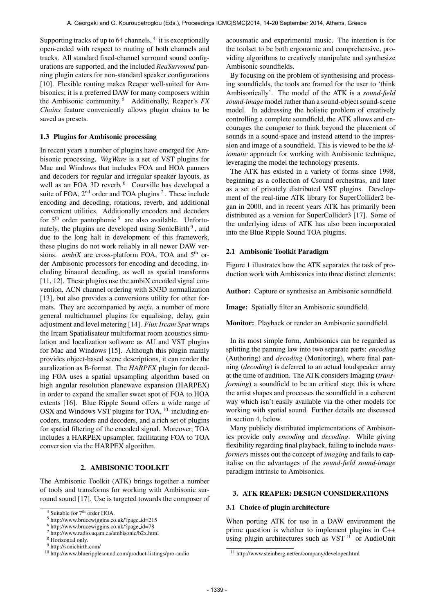Supporting tracks of up to 64 channels, <sup>4</sup> it is exceptionally open-ended with respect to routing of both channels and tracks. All standard fixed-channel surround sound configurations are supported, and the included *ReaSurround* panning plugin caters for non-standard speaker configurations [10]. Flexible routing makes Reaper well-suited for Ambisonics; it is a preferred DAW for many composers within the Ambisonic community. 5 Additionally, Reaper's *FX Chains* feature conveniently allows plugin chains to be saved as presets.

#### 1.3 Plugins for Ambisonic processing

In recent years a number of plugins have emerged for Ambisonic processing. *WigWare* is a set of VST plugins for Mac and Windows that includes FOA and HOA panners and decoders for regular and irregular speaker layouts, as well as an FOA 3D reverb.<sup>6</sup> Courville has developed a suite of FOA,  $2<sup>nd</sup>$  order and TOA plugins<sup>7</sup>. These include encoding and decoding, rotations, reverb, and additional convenient utilities. Additionally encoders and decoders for 5<sup>th</sup> order pantophonic<sup>8</sup> are also available. Unfortunately, the plugins are developed using SonicBirth<sup>9</sup>, and due to the long halt in development of this framework, these plugins do not work reliably in all newer DAW versions. *ambiX* are cross-platform FOA, TOA and 5<sup>th</sup> order Ambisonic processors for encoding and decoding, including binaural decoding, as well as spatial transforms  $[11, 12]$ . These plugins use the ambiX encoded signal convention, ACN channel ordering with SN3D normalization [13], but also provides a conversions utility for other formats. They are accompanied by *mcfx*, a number of more general multichannel plugins for equalising, delay, gain adjustment and level metering [14]. *Flux Ircam Spat* wraps the Ircam Spatialisateur multiformat room acoustics simulation and localization software as AU and VST plugins for Mac and Windows [15]. Although this plugin mainly provides object-based scene descriptions, it can render the auralization as B-format. The *HARPEX* plugin for decoding FOA uses a spatial upsampling algorithm based on high angular resolution planewave expansion (HARPEX) in order to expand the smaller sweet spot of FOA to HOA extents [16]. Blue Ripple Sound offers a wide range of OSX and Windows VST plugins for TOA, 10 including encoders, transcoders and decoders, and a rich set of plugins for spatial filtering of the encoded signal. Moreover, TOA includes a HARPEX upsampler, facilitating FOA to TOA conversion via the HARPEX algorithm.

### 2. AMBISONIC TOOLKIT

The Ambisonic Toolkit (ATK) brings together a number of tools and transforms for working with Ambisonic surround sound [17]. Use is targeted towards the composer of acousmatic and experimental music. The intention is for the toolset to be both ergonomic and comprehensive, providing algorithms to creatively manipulate and synthesize Ambisonic soundfields.

By focusing on the problem of synthesising and processing soundfields, the tools are framed for the user to 'think Ambisonically'. The model of the ATK is a *sound-field sound-image* model rather than a sound-object sound-scene model. In addressing the holistic problem of creatively controlling a complete soundfield, the ATK allows and encourages the composer to think beyond the placement of sounds in a sound-space and instead attend to the impression and image of a soundfield. This is viewed to be the *idiomatic* approach for working with Ambisonic technique, leveraging the model the technology presents.

The ATK has existed in a variety of forms since 1998, beginning as a collection of Csound orchestras, and later as a set of privately distributed VST plugins. Development of the real-time ATK library for SuperCollider2 began in 2000, and in recent years ATK has primarily been distributed as a version for SuperCollider3 [17]. Some of the underlying ideas of ATK has also been incorporated into the Blue Ripple Sound TOA plugins.

### 2.1 Ambisonic Toolkit Paradigm

Figure 1 illustrates how the ATK separates the task of production work with Ambisonics into three distinct elements:

Author: Capture or synthesise an Ambisonic soundfield.

Image: Spatially filter an Ambisonic soundfield.

Monitor: Playback or render an Ambisonic soundfield.

In its most simple form, Ambisonics can be regarded as splitting the panning law into two separate parts: *encoding* (Authoring) and *decoding* (Monitoring), where final panning (*decoding*) is deferred to an actual loudspeaker array at the time of audition. The ATK considers Imaging (*transforming*) a soundfield to be an critical step; this is where the artist shapes and processes the soundfield in a coherent way which isn't easily available via the other models for working with spatial sound. Further details are discussed in section 4, below.

Many publicly distributed implementations of Ambisonics provide only *encoding* and *decoding*. While giving flexibility regarding final playback, failing to include *transformers* misses out the concept of *imaging* and fails to capitalise on the advantages of the *sound-field sound-image* paradigm intrinsic to Ambisonics.

#### 3. ATK REAPER: DESIGN CONSIDERATIONS

#### 3.1 Choice of plugin architecture

When porting ATK for use in a DAW environment the prime question is whether to implement plugins in C++ using plugin architectures such as  $VST$ <sup>11</sup> or AudioUnit

<sup>&</sup>lt;sup>4</sup> Suitable for 7<sup>th</sup> order HOA.

<sup>5</sup> [http://www.brucewiggins.co.uk/?page](http://www.brucewiggins.co.uk/?page_id=215) id=215

<sup>6</sup> [http://www.brucewiggins.co.uk/?page](http://www.brucewiggins.co.uk/?page_id=78) id=78

<sup>7</sup> <http://www.radio.uqam.ca/ambisonic/b2x.html>

<sup>8</sup> Horizontal only.

<sup>9</sup> <http://sonicbirth.com/>

<sup>10</sup> <http://www.blueripplesound.com/product-listings/pro-audio>

<sup>11</sup> <http://www.steinberg.net/en/company/developer.html>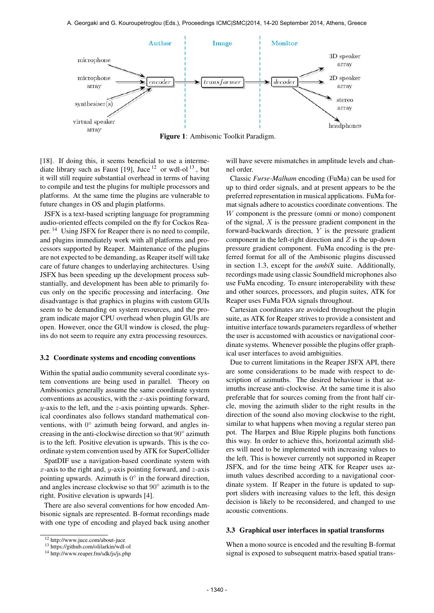

Figure 1: Ambisonic Toolkit Paradigm.

[18]. If doing this, it seems beneficial to use a intermediate library such as Faust [19], Juce  $12$  or wdl-ol  $13$ , but it will still require substantial overhead in terms of having to compile and test the plugins for multiple processors and platforms. At the same time the plugins are vulnerable to future changes in OS and plugin platforms.

JSFX is a text-based scripting language for programming audio-oriented effects compiled on the fly for Cockos Reaper. 14 Using JSFX for Reaper there is no need to compile, and plugins immediately work with all platforms and processors supported by Reaper. Maintenance of the plugins are not expected to be demanding, as Reaper itself will take care of future changes to underlaying architectures. Using JSFX has been speeding up the development process substantially, and development has been able to primarily focus only on the specific processing and interfacing. One disadvantage is that graphics in plugins with custom GUIs seem to be demanding on system resources, and the program indicate major CPU overhead when plugin GUIs are open. However, once the GUI window is closed, the plugins do not seem to require any extra processing resources.

#### 3.2 Coordinate systems and encoding conventions

Within the spatial audio community several coordinate system conventions are being used in parallel. Theory on Ambisonics generally assume the same coordinate system conventions as acoustics, with the  $x$ -axis pointing forward,  $y$ -axis to the left, and the  $z$ -axis pointing upwards. Spherical coordinates also follows standard mathematical conventions, with 0° azimuth being forward, and angles increasing in the anti-clockwise direction so that 90◦ azimuth is to the left. Positive elevation is upwards. This is the coordinate system convention used by ATK for SuperCollider

SpatDIF use a navigation-based coordinate system with x-axis to the right and, y-axis pointing forward, and z-axis pointing upwards. Azimuth is 0° in the forward direction, and angles increase clockwise so that 90◦ azimuth is to the right. Positive elevation is upwards [4].

There are also several conventions for how encoded Ambisonic signals are represented. B-format recordings made with one type of encoding and played back using another will have severe mismatches in amplitude levels and channel order.

Classic *Furse-Malham* encoding (FuMa) can be used for up to third order signals, and at present appears to be the preferred representation in musical applications. FuMa format signals adhere to acoustics coordinate conventions. The W component is the pressure (omni or mono) component of the signal,  $X$  is the pressure gradient component in the forward-backwards direction,  $Y$  is the pressure gradient component in the left-right direction and  $Z$  is the up-down pressure gradient component. FuMa encoding is the preferred format for all of the Ambisonic plugins discussed in section 1.3, except for the *ambiX* suite. Additionally, recordings made using classic Soundfield microphones also use FuMa encoding. To ensure interoperability with these and other sources, processors, and plugin suites, ATK for Reaper uses FuMa FOA signals throughout.

Cartesian coordinates are avoided throughout the plugin suite, as ATK for Reaper strives to provide a consistent and intuitive interface towards parameters regardless of whether the user is accustomed with acoustics or navigational coordinate systems. Whenever possible the plugins offer graphical user interfaces to avoid ambiguities.

Due to current limitations in the Reaper JSFX API, there are some considerations to be made with respect to description of azimuths. The desired behaviour is that azimuths increase anti-clockwise. At the same time it is also preferable that for sources coming from the front half circle, moving the azimuth slider to the right results in the direction of the sound also moving clockwise to the right, similar to what happens when moving a regular stereo pan pot. The Harpex and Blue Ripple plugins both functions this way. In order to achieve this, horizontal azimuth sliders will need to be implemented with increasing values to the left. This is however currently not supported in Reaper JSFX, and for the time being ATK for Reaper uses azimuth values described according to a navigational coordinate system. If Reaper in the future is updated to support sliders with increasing values to the left, this design decision is likely to be reconsidered, and changed to use acoustic conventions.

#### 3.3 Graphical user interfaces in spatial transforms

When a mono source is encoded and the resulting B-format signal is exposed to subsequent matrix-based spatial trans-

<sup>12</sup> <http://www.juce.com/about-juce>

<sup>13</sup> <https://github.com/olilarkin/wdl-ol>

<sup>14</sup> <http://www.reaper.fm/sdk/js/js.php>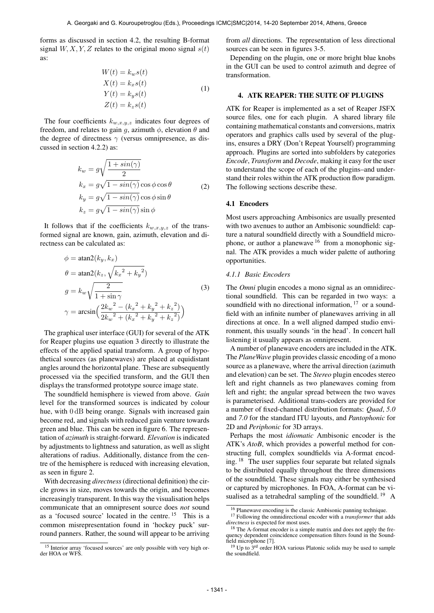forms as discussed in section 4.2, the resulting B-format signal  $W, X, Y, Z$  relates to the original mono signal  $s(t)$ as:

$$
W(t) = k_w s(t)
$$
  
\n
$$
X(t) = k_x s(t)
$$
  
\n
$$
Y(t) = k_y s(t)
$$
  
\n
$$
Z(t) = k_z s(t)
$$
\n(1)

The four coefficients  $k_{w,x,y,z}$  indicates four degrees of freedom, and relates to gain g, azimuth  $\phi$ , elevation  $\theta$  and the degree of directness  $\gamma$  (versus omnipresence, as discussed in section 4.2.2) as:

$$
k_w = g \sqrt{\frac{1 + \sin(\gamma)}{2}}
$$
  
\n
$$
k_x = g \sqrt{1 - \sin(\gamma)} \cos \phi \cos \theta
$$
  
\n
$$
k_y = g \sqrt{1 - \sin(\gamma)} \cos \phi \sin \theta
$$
  
\n
$$
k_z = g \sqrt{1 - \sin(\gamma)} \sin \phi
$$
  
\n(2)

It follows that if the coefficients  $k_{w,x,y,z}$  of the transformed signal are known, gain, azimuth, elevation and directness can be calculated as:

$$
\phi = \operatorname{atan2}(k_y, k_x)
$$
  
\n
$$
\theta = \operatorname{atan2}(k_z, \sqrt{k_x^2 + k_y^2})
$$
  
\n
$$
g = k_w \sqrt{\frac{2}{1 + \sin \gamma}}
$$
  
\n
$$
\gamma = \arcsin\left(\frac{2k_w^2 - (k_x^2 + k_y^2 + k_z^2)}{2k_w^2 + (k_x^2 + k_y^2 + k_z^2)}\right)
$$
\n(3)

The graphical user interface (GUI) for several of the ATK for Reaper plugins use equation 3 directly to illustrate the effects of the applied spatial transform. A group of hypothetical sources (as planewaves) are placed at equidistant angles around the horizontal plane. These are subsequently processed via the specified transform, and the GUI then displays the transformed prototype source image state.

The soundfield hemisphere is viewed from above. *Gain* level for the transformed sources is indicated by colour hue, with  $0 dB$  being orange. Signals with increased gain become red, and signals with reduced gain venture towards green and blue. This can be seen in figure 6. The representation of *azimuth* is straight-forward. *Elevation* is indicated by adjustments to lightness and saturation, as well as slight alterations of radius. Additionally, distance from the centre of the hemisphere is reduced with increasing elevation, as seen in figure 2.

With decreasing *directness*(directional definition) the circle grows in size, moves towards the origin, and becomes increasingly transparent. In this way the visualisation helps communicate that an omnipresent source does *not* sound as a 'focused source' located in the centre. 15 This is a common misrepresentation found in 'hockey puck' surround panners. Rather, the sound will appear to be arriving from *all* directions. The representation of less directional sources can be seen in figures 3-5.

Depending on the plugin, one or more bright blue knobs in the GUI can be used to control azimuth and degree of transformation.

### 4. ATK REAPER: THE SUITE OF PLUGINS

ATK for Reaper is implemented as a set of Reaper JSFX source files, one for each plugin. A shared library file containing mathematical constants and conversions, matrix operators and graphics calls used by several of the plugins, ensures a DRY (Don't Repeat Yourself) programming approach. Plugins are sorted into subfolders by categories *Encode*, *Transform* and *Decode*, making it easy for the user to understand the scope of each of the plugins–and understand their roles within the ATK production flow paradigm. The following sections describe these.

#### 4.1 Encoders

Most users approaching Ambisonics are usually presented with two avenues to author an Ambisonic soundfield: capture a natural soundfield directly with a Soundfield microphone, or author a planewave  $16$  from a monophonic signal. The ATK provides a much wider palette of authoring opportunities.

### *4.1.1 Basic Encoders*

The *Omni* plugin encodes a mono signal as an omnidirectional soundfield. This can be regarded in two ways: a soundfield with no directional information,  $17$  or a soundfield with an infinite number of planewaves arriving in all directions at once. In a well aligned damped studio environment, this usually sounds 'in the head'. In concert hall listening it usually appears as omnipresent.

A number of planewave encoders are included in the ATK. The *PlaneWave* plugin provides classic encoding of a mono source as a planewave, where the arrival direction (azimuth and elevation) can be set. The *Stereo* plugin encodes stereo left and right channels as two planewaves coming from left and right; the angular spread between the two waves is parameterised. Additional trans-coders are provided for a number of fixed-channel distribution formats: *Quad*, *5.0* and *7.0* for the standard ITU layouts, and *Pantophonic* for 2D and *Periphonic* for 3D arrays.

Perhaps the most *idiomatic* Ambisonic encoder is the ATK's *AtoB*, which provides a powerful method for constructing full, complex soundfields via A-format encoding. 18 The user supplies four separate but related signals to be distributed equally throughout the three dimensions of the soundfield. These signals may either be synthesised or captured by microphones. In FOA, A-format can be visualised as a tetrahedral sampling of the soundfield.  $^{19}$  A

<sup>15</sup> Interior array 'focused sources' are only possible with very high order HOA or WFS.

<sup>16</sup> Planewave encoding is the classic Ambisonic panning technique. <sup>17</sup> Following the omnidirectional encoder with a *transformer* that adds

*directness* is expected for most uses. <sup>18</sup> The A-format encoder is a simple matrix and does not apply the frequency dependent coincidence compensation filters found in the Soundfield microphone [7].

 $19$  Up to  $3<sup>rd</sup>$  order HOA various Platonic solids may be used to sample the soundfield.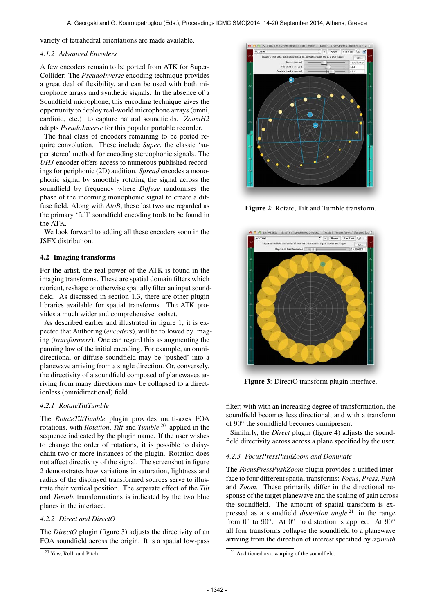variety of tetrahedral orientations are made available.

### *4.1.2 Advanced Encoders*

A few encoders remain to be ported from ATK for Super-Collider: The *PseudoInverse* encoding technique provides a great deal of flexibility, and can be used with both microphone arrays and synthetic signals. In the absence of a Soundfield microphone, this encoding technique gives the opportunity to deploy real-world microphone arrays (omni, cardioid, etc.) to capture natural soundfields. *ZoomH2* adapts *PseudoInverse* for this popular portable recorder.

The final class of encoders remaining to be ported require convolution. These include *Super*, the classic 'super stereo' method for encoding stereophonic signals. The *UHJ* encoder offers access to numerous published recordings for periphonic (2D) audition. *Spread* encodes a monophonic signal by smoothly rotating the signal across the soundfield by frequency where *Diffuse* randomises the phase of the incoming monophonic signal to create a diffuse field. Along with *AtoB*, these last two are regarded as the primary 'full' soundfield encoding tools to be found in the ATK.

We look forward to adding all these encoders soon in the JSFX distribution.

## 4.2 Imaging transforms

For the artist, the real power of the ATK is found in the imaging transforms. These are spatial domain filters which reorient, reshape or otherwise spatially filter an input soundfield. As discussed in section 1.3, there are other plugin libraries available for spatial transforms. The ATK provides a much wider and comprehensive toolset.

As described earlier and illustrated in figure 1, it is expected that Authoring (*encoders*), will be followed by Imaging (*transformers*). One can regard this as augmenting the panning law of the initial encoding. For example, an omnidirectional or diffuse soundfield may be 'pushed' into a planewave arriving from a single direction. Or, conversely, the directivity of a soundfield composed of planewaves arriving from many directions may be collapsed to a directionless (omnidirectional) field.

# *4.2.1 RotateTiltTumble*

The *RotateTiltTumble* plugin provides multi-axes FOA rotations, with *Rotation*, *Tilt* and *Tumble* 20 applied in the sequence indicated by the plugin name. If the user wishes to change the order of rotations, it is possible to daisychain two or more instances of the plugin. Rotation does not affect directivity of the signal. The screenshot in figure 2 demonstrates how variations in saturation, lightness and radius of the displayed transformed sources serve to illustrate their vertical position. The separate effect of the *Tilt* and *Tumble* transformations is indicated by the two blue planes in the interface.

### *4.2.2 Direct and DirectO*

The *DirectO* plugin (figure 3) adjusts the directivity of an FOA soundfield across the origin. It is a spatial low-pass



Figure 2: Rotate, Tilt and Tumble transform.



Figure 3: DirectO transform plugin interface.

filter; with with an increasing degree of transformation, the soundfield becomes less directional, and with a transform of 90° the soundfield becomes omnipresent.

Similarly, the *Direct* plugin (figure 4) adjusts the soundfield directivity across across a plane specified by the user.

### *4.2.3 FocusPressPushZoom and Dominate*

The *FocusPressPushZoom* plugin provides a unified interface to four different spatial transforms: *Focus*, *Press*, *Push* and *Zoom*. These primarily differ in the directional response of the target planewave and the scaling of gain across the soundfield. The amount of spatial transform is expressed as a soundfield *distortion angle* 21 in the range from  $0^\circ$  to  $90^\circ$ . At  $0^\circ$  no distortion is applied. At  $90^\circ$ all four transforms collapse the soundfield to a planewave arriving from the direction of interest specified by *azimuth*

<sup>20</sup> Yaw, Roll, and Pitch

<sup>&</sup>lt;sup>21</sup> Auditioned as a warping of the soundfield.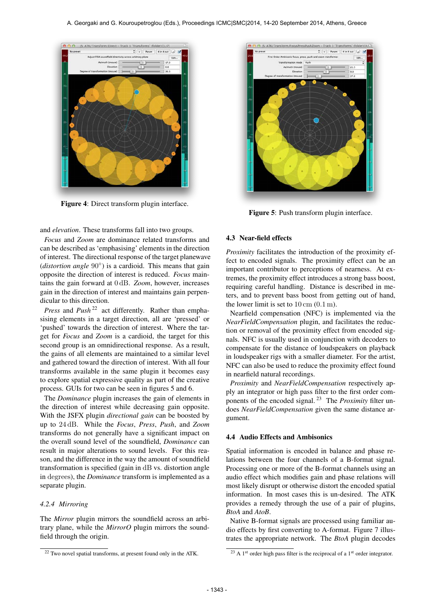

Figure 4: Direct transform plugin interface.



Figure 5: Push transform plugin interface.

and *elevation*. These transforms fall into two groups.

*Focus* and *Zoom* are dominance related transforms and can be described as 'emphasising' elements in the direction of interest. The directional response of the target planewave (*distortion angle* 90°) is a cardioid. This means that gain opposite the direction of interest is reduced. *Focus* maintains the gain forward at 0 dB. *Zoom*, however, increases gain in the direction of interest and maintains gain perpendicular to this direction.

*Press* and *Push*<sup>22</sup> act differently. Rather than emphasising elements in a target direction, all are 'pressed' or 'pushed' towards the direction of interest. Where the target for *Focus* and *Zoom* is a cardioid, the target for this second group is an omnidirectional response. As a result, the gains of all elements are maintained to a similar level and gathered toward the direction of interest. With all four transforms available in the same plugin it becomes easy to explore spatial expressive quality as part of the creative process. GUIs for two can be seen in figures 5 and 6.

The *Dominance* plugin increases the gain of elements in the direction of interest while decreasing gain opposite. With the JSFX plugin *directional gain* can be boosted by up to 24 dB. While the *Focus*, *Press*, *Push*, and *Zoom* transforms do not generally have a significant impact on the overall sound level of the soundfield, *Dominance* can result in major alterations to sound levels. For this reason, and the difference in the way the amount of soundfield transformation is specified (gain in dB vs. distortion angle in degrees), the *Dominance* transform is implemented as a separate plugin.

### *4.2.4 Mirroring*

The *Mirror* plugin mirrors the soundfield across an arbitrary plane, while the *MirrorO* plugin mirrors the soundfield through the origin.

### 4.3 Near-field effects

*Proximity* facilitates the introduction of the proximity effect to encoded signals. The proximity effect can be an important contributor to perceptions of nearness. At extremes, the proximity effect introduces a strong bass boost, requiring careful handling. Distance is described in meters, and to prevent bass boost from getting out of hand, the lower limit is set to  $10 \text{ cm } (0.1 \text{ m})$ .

Nearfield compensation (NFC) is implemented via the *NearFieldCompensation* plugin, and facilitates the reduction or removal of the proximity effect from encoded signals. NFC is usually used in conjunction with decoders to compensate for the distance of loudspeakers on playback in loudspeaker rigs with a smaller diameter. For the artist, NFC can also be used to reduce the proximity effect found in nearfield natural recordings.

*Proximity* and *NearFieldCompensation* respectively apply an integrator or high pass filter to the first order components of the encoded signal. 23 The *Proximity* filter undoes *NearFieldCompensation* given the same distance argument.

#### 4.4 Audio Effects and Ambisonics

Spatial information is encoded in balance and phase relations between the four channels of a B-format signal. Processing one or more of the B-format channels using an audio effect which modifies gain and phase relations will most likely disrupt or otherwise distort the encoded spatial information. In most cases this is un-desired. The ATK provides a remedy through the use of a pair of plugins, *BtoA* and *AtoB*.

Native B-format signals are processed using familiar audio effects by first converting to A-format. Figure 7 illustrates the appropriate network. The *BtoA* plugin decodes

<sup>22</sup> Two novel spatial transforms, at present found only in the ATK.

 $^{23}$  A 1<sup>st</sup> order high pass filter is the reciprocal of a 1<sup>st</sup> order integrator.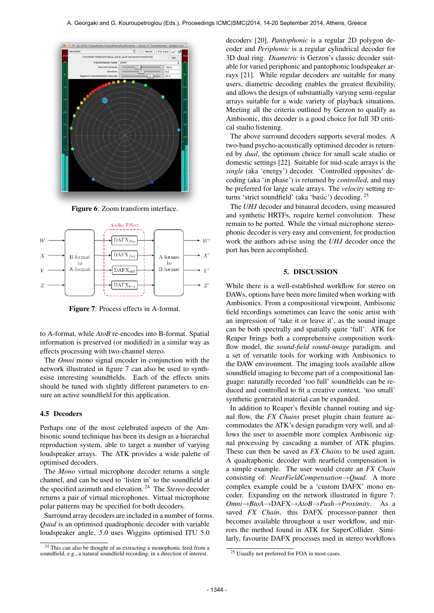

Figure 6: Zoom transform interface.



Figure 7: Process effects in A-format.

to A-format, while *AtoB* re-encodes into B-format. Spatial information is preserved (or modified) in a similar way as effects processing with two-channel stereo.

The *Omni* mono signal encoder in conjunction with the network illustrated in figure 7 can also be used to synthesise interesting soundfields. Each of the effects units should be tuned with slightly different parameters to ensure an active soundfield for this application.

#### 4.5 Decoders

Perhaps one of the most celebrated aspects of the Ambisonic sound technique has been its design as a hierarchal reproduction system, able to target a number of varying loudspeaker arrays. The ATK provides a wide palette of optimised decoders.

The *Mono* virtual microphone decoder returns a single channel, and can be used to 'listen in' to the soundfield at the specified azimuth and elevation. 24 The *Stereo* decoder returns a pair of virtual microphones. Virtual microphone polar patterns may be specified for both decoders.

Surround array decoders are included in a number of forms. *Quad* is an optimised quadraphonic decoder with variable loudspeaker angle, *5.0* uses Wiggins optimised ITU 5.0

decoders [20], *Pantophonic* is a regular 2D polygon decoder and *Periphonic* is a regular cylindrical decoder for 3D dual ring. *Diametric* is Gerzon's classic decoder suitable for varied periphonic and pantophonic loudspeaker arrays [21]. While regular decoders are suitable for many users, diametric decoding enables the greatest flexibility, and allows the design of substantially varying semi-regular arrays suitable for a wide variety of playback situations. Meeting all the criteria outlined by Gerzon to qualify as Ambisonic, this decoder is a good choice for full 3D critical studio listening.

The above surround decoders supports several modes. A two-band psycho-acoustically optimised decoder is returned by *dual*, the optimum choice for small scale studio or domestic settings [22]. Suitable for mid-scale arrays is the *single* (aka 'energy') decoder. 'Controlled opposites' decoding (aka 'in phase') is returned by *controlled*, and may be preferred for large scale arrays. The *velocity* setting returns 'strict soundfield' (aka 'basic') decoding. 25

The *UHJ* decoder and binaural decoders, using measured and synthetic HRTFs, require kernel convolution. These remain to be ported. While the virtual microphone stereophonic decoder is very easy and convenient, for production work the authors advise using the *UHJ* decoder once the port has been accomplished.

#### 5. DISCUSSION

While there is a well-established workflow for stereo on DAWs, options have been more limited when working with Ambisonics. From a compositional viewpoint, Ambisonic field recordings sometimes can leave the sonic artist with an impression of 'take it or leave it', as the sound image can be both spectrally and spatially quite 'full'. ATK for Reaper brings both a comprehensive composition workflow model, the *sound-field sound-image* paradigm, and a set of versatile tools for working with Ambisonics to the DAW environment. The imaging tools available allow soundfield imaging to become part of a compositional language: naturally recorded 'too full' soundfields can be reduced and controlled to fit a creative context, 'too small' synthetic generated material can be expanded.

In addition to Reaper's flexible channel routing and signal flow, the *FX Chains* preset plugin chain feature accommodates the ATK's design paradigm very well, and allows the user to assemble more complex Ambisonic signal processing by cascading a number of ATK plugins. These can then be saved as *FX Chains* to be used again. A quadraphonic decoder with nearfield compensation is a simple example. The user would create an *FX Chain* consisting of: *NearFieldCompensation*→*Quad*. A more complex example could be a 'custom DAFX' mono encoder. Expanding on the network illustrated in figure 7: *Omni*→*BtoA*→DAFX→*AtoB*→*Push*→*Proximity*. As a saved *FX Chain*, this DAFX processor-panner then becomes available throughout a user workflow, and mirrors the method found in ATK for SuperCollider. Similarly, favourite DAFX processes used in stereo workflows

<sup>&</sup>lt;sup>24</sup> This can also be thought of as extracting a monophonic feed from a soundfield, e.g., a natural soundfield recording, in a direction of interest.

<sup>&</sup>lt;sup>25</sup> Usually not preferred for FOA in most cases.